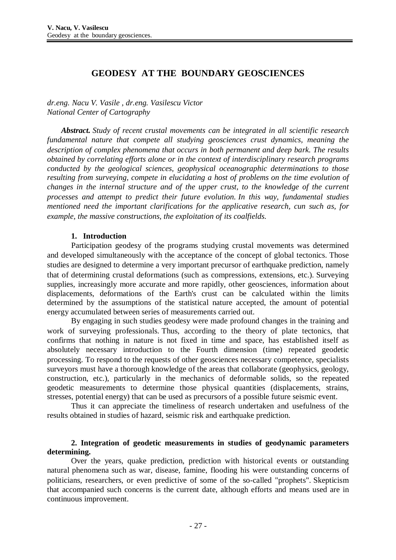# **GEODESY AT THE BOUNDARY GEOSCIENCES**

*dr.eng. Nacu V. Vasile , dr.eng. Vasilescu Victor National Center of Cartography*

*Abstract. Study of recent crustal movements can be integrated in all scientific research fundamental nature that compete all studying geosciences crust dynamics, meaning the description of complex phenomena that occurs in both permanent and deep bark. The results obtained by correlating efforts alone or in the context of interdisciplinary research programs conducted by the geological sciences, geophysical oceanographic determinations to those resulting from surveying, compete in elucidating a host of problems on the time evolution of changes in the internal structure and of the upper crust, to the knowledge of the current processes and attempt to predict their future evolution. In this way, fundamental studies mentioned need the important clarifications for the applicative research, cun such as, for example, the massive constructions, the exploitation of its coalfields.*

#### **1. Introduction**

Participation geodesy of the programs studying crustal movements was determined and developed simultaneously with the acceptance of the concept of global tectonics. Those studies are designed to determine a very important precursor of earthquake prediction, namely that of determining crustal deformations (such as compressions, extensions, etc.). Surveying supplies, increasingly more accurate and more rapidly, other geosciences, information about displacements, deformations of the Earth's crust can be calculated within the limits determined by the assumptions of the statistical nature accepted, the amount of potential energy accumulated between series of measurements carried out.

By engaging in such studies geodesy were made profound changes in the training and work of surveying professionals. Thus, according to the theory of plate tectonics, that confirms that nothing in nature is not fixed in time and space, has established itself as absolutely necessary introduction to the Fourth dimension (time) repeated geodetic processing. To respond to the requests of other geosciences necessary competence, specialists surveyors must have a thorough knowledge of the areas that collaborate (geophysics, geology, construction, etc.), particularly in the mechanics of deformable solids, so the repeated geodetic measurements to determine those physical quantities (displacements, strains, stresses, potential energy) that can be used as precursors of a possible future seismic event.

Thus it can appreciate the timeliness of research undertaken and usefulness of the results obtained in studies of hazard, seismic risk and earthquake prediction.

#### **2. Integration of geodetic measurements in studies of geodynamic parameters determining.**

Over the years, quake prediction, prediction with historical events or outstanding natural phenomena such as war, disease, famine, flooding his were outstanding concerns of politicians, researchers, or even predictive of some of the so-called "prophets". Skepticism that accompanied such concerns is the current date, although efforts and means used are in continuous improvement.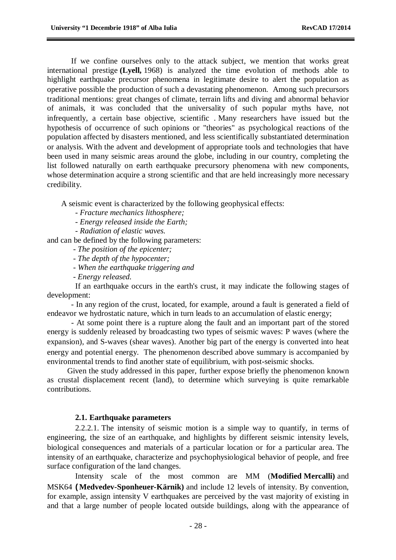If we confine ourselves only to the attack subject, we mention that works great international prestige **(Lyell,** 1968) is analyzed the time evolution of methods able to highlight earthquake precursor phenomena in legitimate desire to alert the population as operative possible the production of such a devastating phenomenon. Among such precursors traditional mentions: great changes of climate, terrain lifts and diving and abnormal behavior of animals, it was concluded that the universality of such popular myths have, not infrequently, a certain base objective, scientific . Many researchers have issued but the hypothesis of occurrence of such opinions or "theories" as psychological reactions of the population affected by disasters mentioned, and less scientifically substantiated determination or analysis. With the advent and development of appropriate tools and technologies that have been used in many seismic areas around the globe, including in our country, completing the list followed naturally on earth earthquake precursory phenomena with new components, whose determination acquire a strong scientific and that are held increasingly more necessary credibility.

A seismic event is characterized by the following geophysical effects:

- *- Fracture mechanics lithosphere;*
- *- Energy released inside the Earth;*
- *- Radiation of elastic waves.*

and can be defined by the following parameters:

- *- The position of the epicenter;*
- *- The depth of the hypocenter;*
- *- When the earthquake triggering and*
- *- Energy released.*

If an earthquake occurs in the earth's crust, it may indicate the following stages of development:

- In any region of the crust, located, for example, around a fault is generated a field of endeavor we hydrostatic nature, which in turn leads to an accumulation of elastic energy;

- At some point there is a rupture along the fault and an important part of the stored energy is suddenly released by broadcasting two types of seismic waves: P waves (where the expansion), and S-waves (shear waves). Another big part of the energy is converted into heat energy and potential energy. The phenomenon described above summary is accompanied by environmental trends to find another state of equilibrium, with post-seismic shocks.

Given the study addressed in this paper, further expose briefly the phenomenon known as crustal displacement recent (land), to determine which surveying is quite remarkable contributions.

#### **2.1. Earthquake parameters**

2.2.2.1. The intensity of seismic motion is a simple way to quantify, in terms of engineering, the size of an earthquake, and highlights by different seismic intensity levels, biological consequences and materials of a particular location or for a particular area. The intensity of an earthquake, characterize and psychophysiological behavior of people, and free surface configuration of the land changes.

Intensity scale of the most common are MM (**Modified Mercalli)** and MSK64 **(Medvedev-Sponheuer-Kärnik)** and include 12 levels of intensity. By convention, for example, assign intensity V earthquakes are perceived by the vast majority of existing in and that a large number of people located outside buildings, along with the appearance of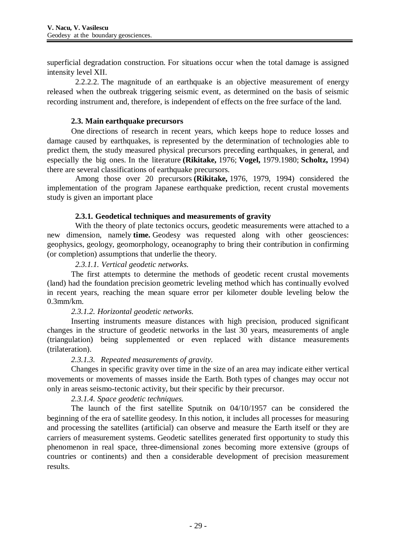superficial degradation construction. For situations occur when the total damage is assigned intensity level XII.

2.2.2.2. The magnitude of an earthquake is an objective measurement of energy released when the outbreak triggering seismic event, as determined on the basis of seismic recording instrument and, therefore, is independent of effects on the free surface of the land.

# **2.3. Main earthquake precursors**

One directions of research in recent years, which keeps hope to reduce losses and damage caused by earthquakes, is represented by the determination of technologies able to predict them, the study measured physical precursors preceding earthquakes, in general, and especially the big ones. In the literature **(Rikitake,** 1976; **Vogel,** 1979.1980; **Scholtz,** 1994) there are several classifications of earthquake precursors.

Among those over 20 precursors **(Rikitake,** 1976, 1979, 1994) considered the implementation of the program Japanese earthquake prediction, recent crustal movements study is given an important place

# **2.3.1. Geodetical techniques and measurements of gravity**

With the theory of plate tectonics occurs, geodetic measurements were attached to a new dimension, namely **time.** Geodesy was requested along with other geosciences: geophysics, geology, geomorphology, oceanography to bring their contribution in confirming (or completion) assumptions that underlie the theory.

# *2.3.1.1. Vertical geodetic networks.*

The first attempts to determine the methods of geodetic recent crustal movements (land) had the foundation precision geometric leveling method which has continually evolved in recent years, reaching the mean square error per kilometer double leveling below the 0.3mm/km.

# *2.3.1.2. Horizontal geodetic networks.*

Inserting instruments measure distances with high precision, produced significant changes in the structure of geodetic networks in the last 30 years, measurements of angle (triangulation) being supplemented or even replaced with distance measurements (trilateration).

#### *2.3.1.3. Repeated measurements of gravity.*

Changes in specific gravity over time in the size of an area may indicate either vertical movements or movements of masses inside the Earth. Both types of changes may occur not only in areas seismo-tectonic activity, but their specific by their precursor.

# *2.3.1.4. Space geodetic techniques.*

The launch of the first satellite Sputnik on 04/10/1957 can be considered the beginning of the era of satellite geodesy. In this notion, it includes all processes for measuring and processing the satellites (artificial) can observe and measure the Earth itself or they are carriers of measurement systems. Geodetic satellites generated first opportunity to study this phenomenon in real space, three-dimensional zones becoming more extensive (groups of countries or continents) and then a considerable development of precision measurement results.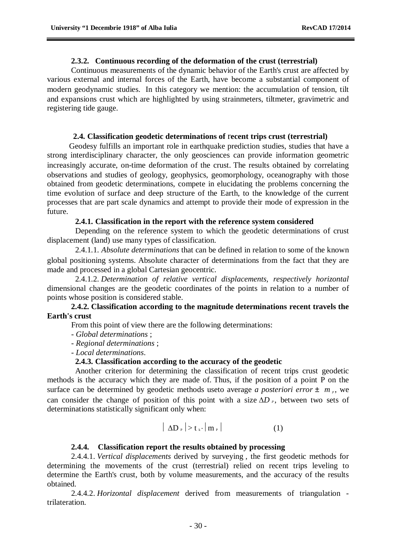#### **2.3.2. Continuous recording of the deformation of the crust (terrestrial)**

Continuous measurements of the dynamic behavior of the Earth's crust are affected by various external and internal forces of the Earth, have become a substantial component of modern geodynamic studies. In this category we mention: the accumulation of tension, tilt and expansions crust which are highlighted by using strainmeters, tiltmeter, gravimetric and registering tide gauge.

#### **2.4. Classification geodetic determinations of** r**ecent trips crust (terrestrial)**

Geodesy fulfills an important role in earthquake prediction studies, studies that have a strong interdisciplinary character, the only geosciences can provide information geometric increasingly accurate, on-time deformation of the crust. The results obtained by correlating observations and studies of geology, geophysics, geomorphology, oceanography with those obtained from geodetic determinations, compete in elucidating the problems concerning the time evolution of surface and deep structure of the Earth, to the knowledge of the current processes that are part scale dynamics and attempt to provide their mode of expression in the future.

#### **2.4.1. Classification in the report with the reference system considered**

Depending on the reference system to which the geodetic determinations of crust displacement (land) use many types of classification.

2.4.1.1. *Absolute determinations* that can be defined in relation to some of the known global positioning systems. Absolute character of determinations from the fact that they are made and processed in a global Cartesian geocentric.

2.4.1.2. *Determination of relative vertical displacements, respectively horizontal* dimensional changes are the geodetic coordinates of the points in relation to a number of points whose position is considered stable.

## **2.4.2. Classification according to the magnitude determinations recent travels the Earth's crust**

From this point of view there are the following determinations:

- *Global determinations* ;
- *Regional determinations* ;
- *Local determinations*.

## **2.4.3. Classification according to the accuracy of the geodetic**

Another criterion for determining the classification of recent trips crust geodetic methods is the accuracy which they are made of. Thus, if the position of a point P on the surface can be determined by geodetic methods useto average *a posteriori error*  $\pm m_p$ , we can consider the change of position of this point with a size  $\Delta D$  *P*, between two sets of determinations statistically significant only when:

$$
|\Delta D_{P}| > t_{k} \cdot |m_{P}| \qquad (1)
$$

## **2.4.4. Classification report the results obtained by processing**

2.4.4.1. *Vertical displacements* derived by surveying , the first geodetic methods for determining the movements of the crust (terrestrial) relied on recent trips leveling to determine the Earth's crust, both by volume measurements, and the accuracy of the results obtained.

2.4.4.2. *Horizontal displacement* derived from measurements of triangulation trilateration.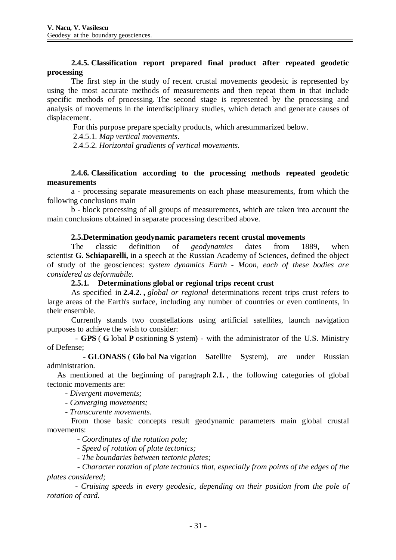# **2.4.5. Classification report prepared final product after repeated geodetic processing**

The first step in the study of recent crustal movements geodesic is represented by using the most accurate methods of measurements and then repeat them in that include specific methods of processing. The second stage is represented by the processing and analysis of movements in the interdisciplinary studies, which detach and generate causes of displacement.

For this purpose prepare specialty products, which aresummarized below.

2.4.5.1. *Map vertical movements*.

2.4.5.2. *Horizontal gradients of vertical movements*.

## **2.4.6. Classification according to the processing methods repeated geodetic measurements**

a - processing separate measurements on each phase measurements, from which the following conclusions main

b - block processing of all groups of measurements, which are taken into account the main conclusions obtained in separate processing described above.

# **2.5.Determination geodynamic parameters** r**ecent crustal movements**

The classic definition of *geodynamics* dates from 1889, when scientist **G. Schiaparelli,** in a speech at the Russian Academy of Sciences, defined the object of study of the geosciences: *system dynamics Earth - Moon, each of these bodies are considered as deformabile.*

## **2.5.1. Determinations global or regional trips recent crust**

As specified in **2.4.2. ,** *global or regional* determinations recent trips crust refers to large areas of the Earth's surface, including any number of countries or even continents, in their ensemble.

Currently stands two constellations using artificial satellites, launch navigation purposes to achieve the wish to consider:

- **GPS** ( **G** lobal **P** ositioning **S** ystem) - with the administrator of the U.S. Ministry of Defense;

- **GLONASS** ( **Glo** bal **Na** vigation **S**atellite **S**ystem), are under Russian administration.

As mentioned at the beginning of paragraph **2.1.** , the following categories of global tectonic movements are:

*- Divergent movements;*

*- Converging movements;*

*- Transcurente movements.*

From those basic concepts result geodynamic parameters main global crustal movements:

*- Coordinates of the rotation pole;*

*- Speed of rotation of plate tectonics;*

*- The boundaries between tectonic plates;*

*- Character rotation of plate tectonics that, especially from points of the edges of the plates considered;*

*- Cruising speeds in every geodesic, depending on their position from the pole of rotation of card.*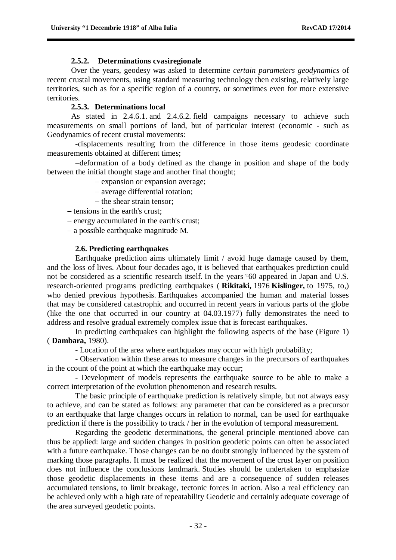#### **2.5.2. Determinations cvasiregionale**

Over the years, geodesy was asked to determine *certain parameters geodynamics* of recent crustal movements, using standard measuring technology then existing, relatively large territories, such as for a specific region of a country, or sometimes even for more extensive territories.

## **2.5.3. Determinations local**

As stated in 2.4.6.1. and 2.4.6.2. field campaigns necessary to achieve such measurements on small portions of land, but of particular interest (economic - such as Geodynamics of recent crustal movements:

-displacements resulting from the difference in those items geodesic coordinate measurements obtained at different times;

deformation of a body defined as the change in position and shape of the body between the initial thought stage and another final thought;

- expansion or expansion average;

- average differential rotation;
- $-$  the shear strain tensor:
- $-$  tensions in the earth's crust:
- energy accumulated in the earth's crust;
- a possible earthquake magnitude M.

#### **2.6. Predicting earthquakes**

Earthquake prediction aims ultimately limit / avoid huge damage caused by them, and the loss of lives. About four decades ago, it is believed that earthquakes prediction could not be considered as a scientific research itself. In the years "60 appeared in Japan and U.S. research-oriented programs predicting earthquakes ( **Rikitaki,** 1976 **Kislinger,** to 1975, to,) who denied previous hypothesis. Earthquakes accompanied the human and material losses that may be considered catastrophic and occurred in recent years in various parts of the globe (like the one that occurred in our country at 04.03.1977) fully demonstrates the need to address and resolve gradual extremely complex issue that is forecast earthquakes.

In predicting earthquakes can highlight the following aspects of the base (Figure 1) ( **Dambara,** 1980).

- Location of the area where earthquakes may occur with high probability;

- Observation within these areas to measure changes in the precursors of earthquakes in the ccount of the point at which the earthquake may occur;

- Development of models represents the earthquake source to be able to make a correct interpretation of the evolution phenomenon and research results.

The basic principle of earthquake prediction is relatively simple, but not always easy to achieve, and can be stated as follows: any parameter that can be considered as a precursor to an earthquake that large changes occurs in relation to normal, can be used for earthquake prediction if there is the possibility to track / her in the evolution of temporal measurement.

Regarding the geodetic determinations, the general principle mentioned above can thus be applied: large and sudden changes in position geodetic points can often be associated with a future earthquake. Those changes can be no doubt strongly influenced by the system of marking those paragraphs. It must be realized that the movement of the crust layer on position does not influence the conclusions landmark. Studies should be undertaken to emphasize those geodetic displacements in these items and are a consequence of sudden releases accumulated tensions, to limit breakage, tectonic forces in action. Also a real efficiency can be achieved only with a high rate of repeatability Geodetic and certainly adequate coverage of the area surveyed geodetic points.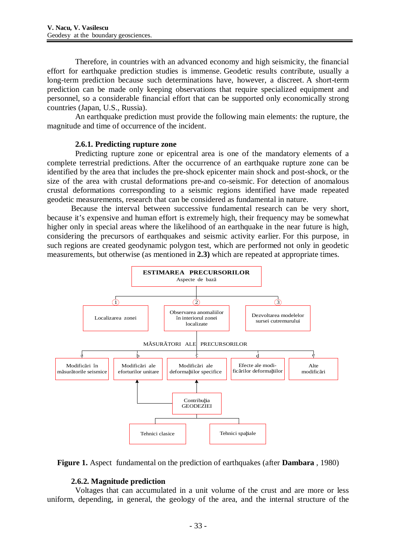Therefore, in countries with an advanced economy and high seismicity, the financial effort for earthquake prediction studies is immense. Geodetic results contribute, usually a long-term prediction because such determinations have, however, a discreet. A short-term prediction can be made only keeping observations that require specialized equipment and personnel, so a considerable financial effort that can be supported only economically strong countries (Japan, U.S., Russia).

An earthquake prediction must provide the following main elements: the rupture, the magnitude and time of occurrence of the incident.

#### **2.6.1. Predicting rupture zone**

Predicting rupture zone or epicentral area is one of the mandatory elements of a complete terrestrial predictions. After the occurrence of an earthquake rupture zone can be identified by the area that includes the pre-shock epicenter main shock and post-shock, or the size of the area with crustal deformations pre-and co-seismic. For detection of anomalous crustal deformations corresponding to a seismic regions identified have made repeated geodetic measurements, research that can be considered as fundamental in nature.

Because the interval between successive fundamental research can be very short, because it's expensive and human effort is extremely high, their frequency may be somewhat higher only in special areas where the likelihood of an earthquake in the near future is high, considering the precursors of earthquakes and seismic activity earlier. For this purpose, in such regions are created geodynamic polygon test, which are performed not only in geodetic measurements, but otherwise (as mentioned in **2.3)** which are repeated at appropriate times.





#### **2.6.2. Magnitude prediction**

Voltages that can accumulated in a unit volume of the crust and are more or less uniform, depending, in general, the geology of the area, and the internal structure of the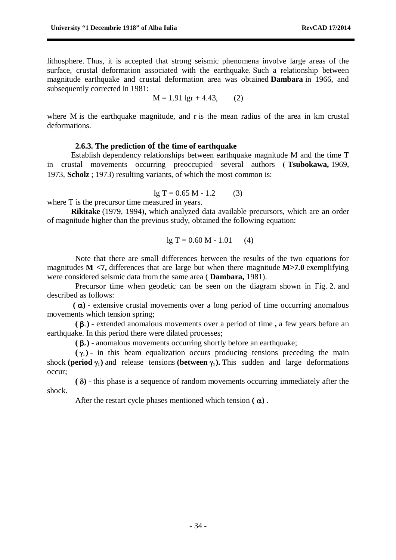lithosphere. Thus, it is accepted that strong seismic phenomena involve large areas of the surface, crustal deformation associated with the earthquake. Such a relationship between magnitude earthquake and crustal deformation area was obtained **Dambara** in 1966, and subsequently corrected in 1981:

$$
M = 1.91 \text{ lgr} + 4.43, \qquad (2)
$$

where M is the earthquake magnitude, and r is the mean radius of the area in km crustal deformations.

#### **2.6.3. The prediction of the time of earthquake**

Establish dependency relationships between earthquake magnitude M and the time T in crustal movements occurring preoccupied several authors ( **Tsubokawa,** 1969, 1973, **Scholz** ; 1973) resulting variants, of which the most common is:

 $lg T = 0.65 M - 1.2$  (3)

where T is the precursor time measured in years.

**Rikitake** (1979, 1994), which analyzed data available precursors, which are an order of magnitude higher than the previous study, obtained the following equation:

$$
lg T = 0.60 M - 1.01 \qquad (4)
$$

Note that there are small differences between the results of the two equations for magnitudes **M <7,** differences that are large but when there magnitude **M>7.0** exemplifying were considered seismic data from the same area ( **Dambara,** 1981).

Precursor time when geodetic can be seen on the diagram shown in Fig. 2. and described as follows:

 $(\alpha)$  - extensive crustal movements over a long period of time occurring anomalous movements which tension spring;

**( <sup>1</sup> )** - extended anomalous movements over a period of time **,** a few years before an earthquake. In this period there were dilated processes;

 $(\beta_2)$  - anomalous movements occurring shortly before an earthquake;

 $(\gamma_1)$  - in this beam equalization occurs producing tensions preceding the main shock **(period**  $\gamma$ ) and release tensions **(between**  $\gamma$ ). This sudden and large deformations occur;

**( )** - this phase is a sequence of random movements occurring immediately after the shock.

After the restart cycle phases mentioned which tension  $(\alpha)$ .